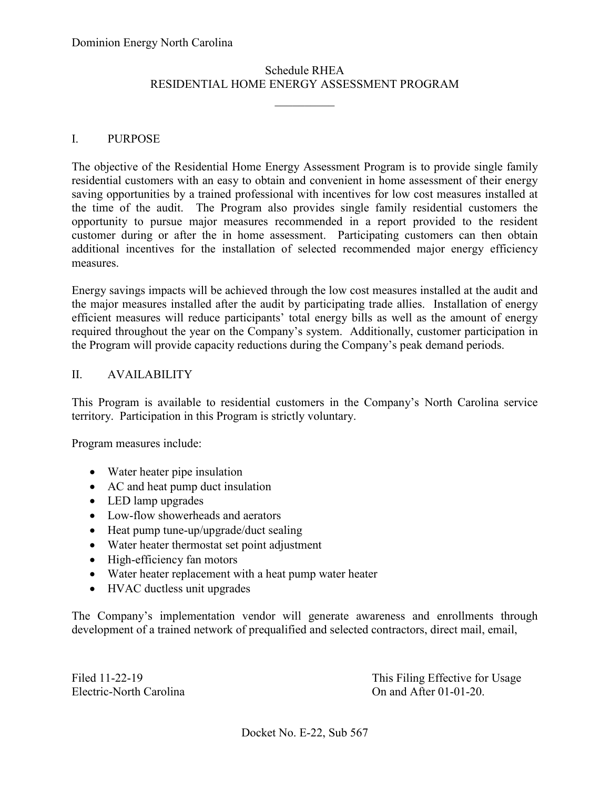# RESIDENTIAL HOME ENERGY ASSESSMENT PROGRAM Schedule RHEA

 $\frac{1}{2}$ 

#### I. PURPOSE

 The objective of the Residential Home Energy Assessment Program is to provide single family opportunity to pursue major measures recommended in a report provided to the resident additional incentives for the installation of selected recommended major energy efficiency residential customers with an easy to obtain and convenient in home assessment of their energy saving opportunities by a trained professional with incentives for low cost measures installed at the time of the audit. The Program also provides single family residential customers the customer during or after the in home assessment. Participating customers can then obtain measures.

 the major measures installed after the audit by participating trade allies. Installation of energy efficient measures will reduce participants' total energy bills as well as the amount of energy Energy savings impacts will be achieved through the low cost measures installed at the audit and required throughout the year on the Company's system. Additionally, customer participation in the Program will provide capacity reductions during the Company's peak demand periods.

#### II. AVAILABILITY

 territory. Participation in this Program is strictly voluntary. This Program is available to residential customers in the Company's North Carolina service

Program measures include:

- Water heater pipe insulation
- AC and heat pump duct insulation
- LED lamp upgrades
- Low-flow showerheads and aerators
- Heat pump tune-up/upgrade/duct sealing
- Water heater thermostat set point adjustment
- High-efficiency fan motors
- Water heater replacement with a heat pump water heater
- HVAC ductless unit upgrades

The Company's implementation vendor will generate awareness and enrollments through development of a trained network of prequalified and selected contractors, direct mail, email,

Electric-North Carolina

Filed 11-22-19 This Filing Effective for Usage On and After  $01-01-20$ .